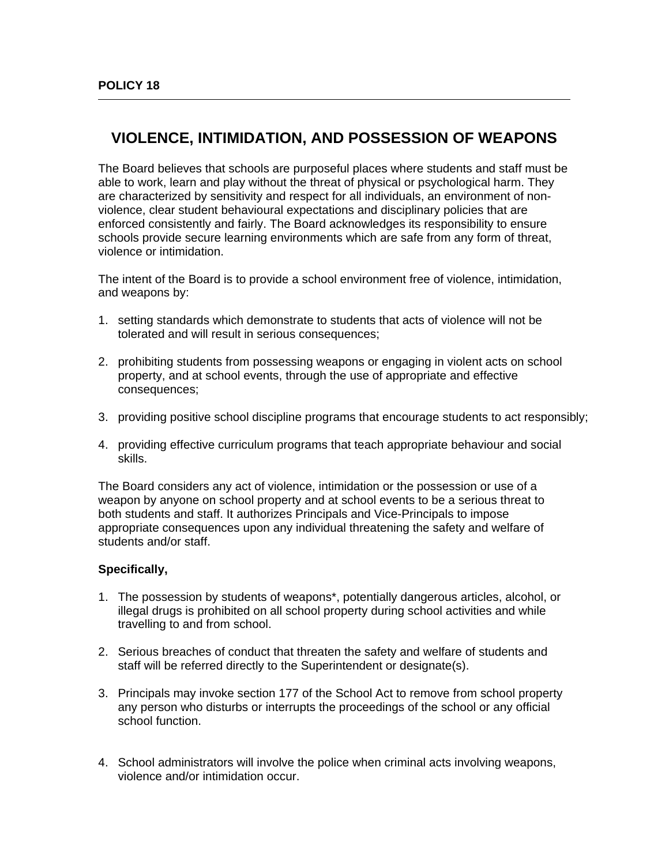$\overline{a}$ 

## **VIOLENCE, INTIMIDATION, AND POSSESSION OF WEAPONS**

The Board believes that schools are purposeful places where students and staff must be able to work, learn and play without the threat of physical or psychological harm. They are characterized by sensitivity and respect for all individuals, an environment of nonviolence, clear student behavioural expectations and disciplinary policies that are enforced consistently and fairly. The Board acknowledges its responsibility to ensure schools provide secure learning environments which are safe from any form of threat, violence or intimidation.

The intent of the Board is to provide a school environment free of violence, intimidation, and weapons by:

- 1. setting standards which demonstrate to students that acts of violence will not be tolerated and will result in serious consequences;
- 2. prohibiting students from possessing weapons or engaging in violent acts on school property, and at school events, through the use of appropriate and effective consequences;
- 3. providing positive school discipline programs that encourage students to act responsibly;
- 4. providing effective curriculum programs that teach appropriate behaviour and social skills.

The Board considers any act of violence, intimidation or the possession or use of a weapon by anyone on school property and at school events to be a serious threat to both students and staff. It authorizes Principals and Vice-Principals to impose appropriate consequences upon any individual threatening the safety and welfare of students and/or staff.

## **Specifically,**

- 1. The possession by students of weapons\*, potentially dangerous articles, alcohol, or illegal drugs is prohibited on all school property during school activities and while travelling to and from school.
- 2. Serious breaches of conduct that threaten the safety and welfare of students and staff will be referred directly to the Superintendent or designate(s).
- 3. Principals may invoke section 177 of the School Act to remove from school property any person who disturbs or interrupts the proceedings of the school or any official school function.
- 4. School administrators will involve the police when criminal acts involving weapons, violence and/or intimidation occur.